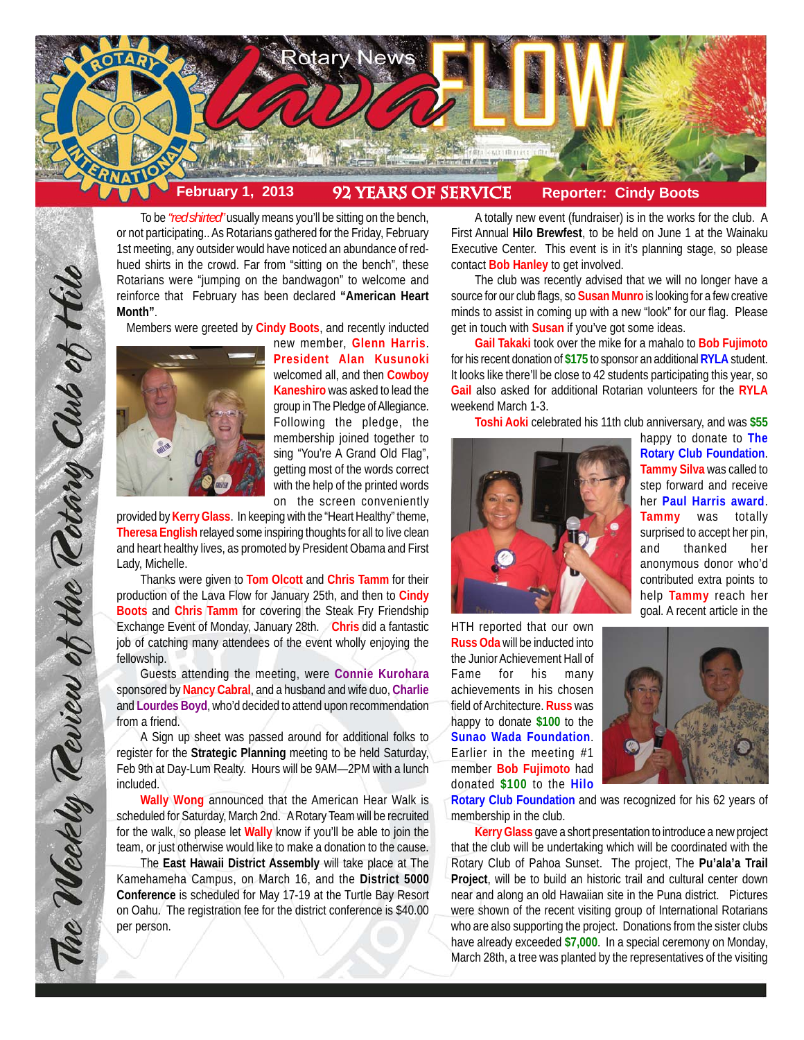

To be *"red shirted"* usually means you'll be sitting on the bench, or not participating.. As Rotarians gathered for the Friday, February 1st meeting, any outsider would have noticed an abundance of redhued shirts in the crowd. Far from "sitting on the bench", these Rotarians were "jumping on the bandwagon" to welcome and reinforce that February has been declared **"American Heart Month"**.

Members were greeted by **Cindy Boots**, and recently inducted



The Weekly Teview of the Tetary Club of Hilo

new member, **Glenn Harris**. **President Alan Kusunoki** welcomed all, and then **Cowboy Kaneshiro** was asked to lead the group in The Pledge of Allegiance. Following the pledge, the membership joined together to sing "You're A Grand Old Flag", getting most of the words correct with the help of the printed words on the screen conveniently

provided by **Kerry Glass**. In keeping with the "Heart Healthy" theme, **Theresa English** relayed some inspiring thoughts for all to live clean and heart healthy lives, as promoted by President Obama and First Lady, Michelle.

Thanks were given to **Tom Olcott** and **Chris Tamm** for their production of the Lava Flow for January 25th, and then to **Cindy Boots** and **Chris Tamm** for covering the Steak Fry Friendship Exchange Event of Monday, January 28th. **Chris** did a fantastic job of catching many attendees of the event wholly enjoying the fellowship.

Guests attending the meeting, were **Connie Kurohara** sponsored by **Nancy Cabral**, and a husband and wife duo, **Charlie** and **Lourdes Boyd**, who'd decided to attend upon recommendation from a friend.

A Sign up sheet was passed around for additional folks to register for the **Strategic Planning** meeting to be held Saturday, Feb 9th at Day-Lum Realty. Hours will be 9AM—2PM with a lunch included.

**Wally Wong** announced that the American Hear Walk is scheduled for Saturday, March 2nd. A Rotary Team will be recruited for the walk, so please let **Wally** know if you'll be able to join the team, or just otherwise would like to make a donation to the cause.

The **East Hawaii District Assembly** will take place at The Kamehameha Campus, on March 16, and the **District 5000 Conference** is scheduled for May 17-19 at the Turtle Bay Resort on Oahu. The registration fee for the district conference is \$40.00 per person.

A totally new event (fundraiser) is in the works for the club. A First Annual **Hilo Brewfest**, to be held on June 1 at the Wainaku Executive Center. This event is in it's planning stage, so please contact **Bob Hanley** to get involved.

The club was recently advised that we will no longer have a source for our club flags, so **Susan Munro** is looking for a few creative minds to assist in coming up with a new "look" for our flag. Please get in touch with **Susan** if you've got some ideas.

**Gail Takaki** took over the mike for a mahalo to **Bob Fujimoto** for his recent donation of **\$175** to sponsor an additional **RYLA** student. It looks like there'll be close to 42 students participating this year, so **Gail** also asked for additional Rotarian volunteers for the **RYLA** weekend March 1-3.

**Toshi Aoki** celebrated his 11th club anniversary, and was **\$55**



happy to donate to **The Rotary Club Foundation**. **Tammy Silva** was called to step forward and receive her **Paul Harris award**. **Tammy** was totally surprised to accept her pin, and thanked her anonymous donor who'd contributed extra points to help **Tammy** reach her goal. A recent article in the

HTH reported that our own **Russ Oda** will be inducted into the Junior Achievement Hall of Fame for his many achievements in his chosen field of Architecture. **Russ** was happy to donate **\$100** to the **Sunao Wada Foundation**. Earlier in the meeting #1 member **Bob Fujimoto** had donated **\$100** to the **Hilo**



**Rotary Club Foundation** and was recognized for his 62 years of membership in the club.

**Kerry Glass** gave a short presentation to introduce a new project that the club will be undertaking which will be coordinated with the Rotary Club of Pahoa Sunset. The project, The **Pu'ala'a Trail Project**, will be to build an historic trail and cultural center down near and along an old Hawaiian site in the Puna district. Pictures were shown of the recent visiting group of International Rotarians who are also supporting the project. Donations from the sister clubs have already exceeded **\$7,000**. In a special ceremony on Monday, March 28th, a tree was planted by the representatives of the visiting